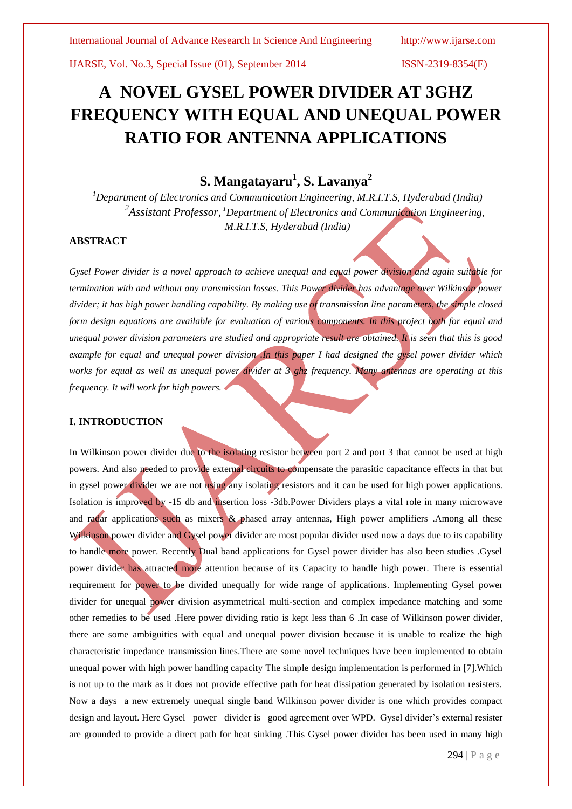# **A NOVEL GYSEL POWER DIVIDER AT 3GHZ FREQUENCY WITH EQUAL AND UNEQUAL POWER RATIO FOR ANTENNA APPLICATIONS**

## **S. Mangatayaru<sup>1</sup> , S. Lavanya<sup>2</sup>**

*<sup>1</sup>Department of Electronics and Communication Engineering, M.R.I.T.S, Hyderabad (India) 2 Assistant Professor, <sup>1</sup>Department of Electronics and Communication Engineering, M.R.I.T.S, Hyderabad (India)*

## **ABSTRACT**

*Gysel Power divider is a novel approach to achieve unequal and equal power division and again suitable for termination with and without any transmission losses. This Power divider has advantage over Wilkinson power divider; it has high power handling capability. By making use of transmission line parameters, the simple closed form design equations are available for evaluation of various components. In this project both for equal and unequal power division parameters are studied and appropriate result are obtained. It is seen that this is good example for equal and unequal power division .In this paper I had designed the gysel power divider which works for equal as well as unequal power divider at 3 ghz frequency. Many antennas are operating at this frequency. It will work for high powers.*

## **I. INTRODUCTION**

In Wilkinson power divider due to the isolating resistor between port 2 and port 3 that cannot be used at high powers. And also needed to provide external circuits to compensate the parasitic capacitance effects in that but in gysel power divider we are not using any isolating resistors and it can be used for high power applications. Isolation is improved by -15 db and insertion loss -3db.Power Dividers plays a vital role in many microwave and radar applications such as mixers & phased array antennas, High power amplifiers .Among all these Wilkinson power divider and Gysel power divider are most popular divider used now a days due to its capability to handle more power. Recently Dual band applications for Gysel power divider has also been studies .Gysel power divider has attracted more attention because of its Capacity to handle high power. There is essential requirement for power to be divided unequally for wide range of applications. Implementing Gysel power divider for unequal power division asymmetrical multi-section and complex impedance matching and some other remedies to be used .Here power dividing ratio is kept less than 6 .In case of Wilkinson power divider, there are some ambiguities with equal and unequal power division because it is unable to realize the high characteristic impedance transmission lines.There are some novel techniques have been implemented to obtain unequal power with high power handling capacity The simple design implementation is performed in [7].Which is not up to the mark as it does not provide effective path for heat dissipation generated by isolation resisters. Now a days a new extremely unequal single band Wilkinson power divider is one which provides compact design and layout. Here Gysel power divider is good agreement over WPD. Gysel divider's external resister are grounded to provide a direct path for heat sinking .This Gysel power divider has been used in many high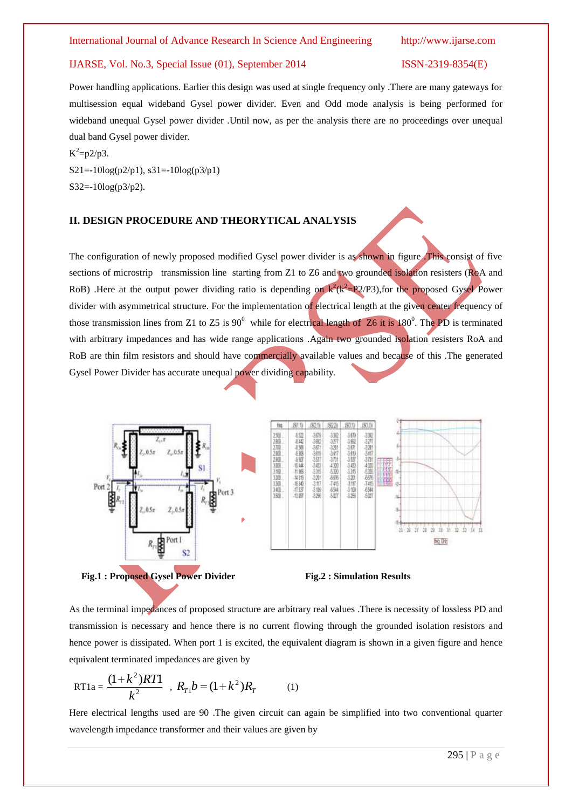Power handling applications. Earlier this design was used at single frequency only .There are many gateways for multisession equal wideband Gysel power divider. Even and Odd mode analysis is being performed for wideband unequal Gysel power divider .Until now, as per the analysis there are no proceedings over unequal dual band Gysel power divider.

 $K^2 = p2/p3$ . S21=-10log(p2/p1), s31=-10log(p3/p1) S32=-10log(p3/p2).

## **II. DESIGN PROCEDURE AND THEORYTICAL ANALYSIS**

The configuration of newly proposed modified Gysel power divider is as shown in figure .This consist of five sections of microstrip transmission line starting from Z1 to Z6 and two grounded isolation resisters (RoA and RoB) .Here at the output power dividing ratio is depending on  $k^2(k^2 = P2/P3)$ , for the proposed Gysel Power divider with asymmetrical structure. For the implementation of electrical length at the given center frequency of those transmission lines from Z1 to Z5 is  $90^0$  while for electrical length of Z6 it is  $180^0$ . The PD is terminated with arbitrary impedances and has wide range applications .Again two grounded isolation resisters RoA and RoB are thin film resistors and should have commercially available values and because of this .The generated Gysel Power Divider has accurate unequal power dividing capability.







As the terminal impedances of proposed structure are arbitrary real values .There is necessity of lossless PD and transmission is necessary and hence there is no current flowing through the grounded isolation resistors and hence power is dissipated. When port 1 is excited, the equivalent diagram is shown in a given figure and hence equivalent terminated impedances are given by

RT1a = 
$$
\frac{(1+k^2)RT1}{k^2}, R_{T1}b = (1+k^2)R_T
$$
 (1)

Here electrical lengths used are 90 .The given circuit can again be simplified into two conventional quarter wavelength impedance transformer and their values are given by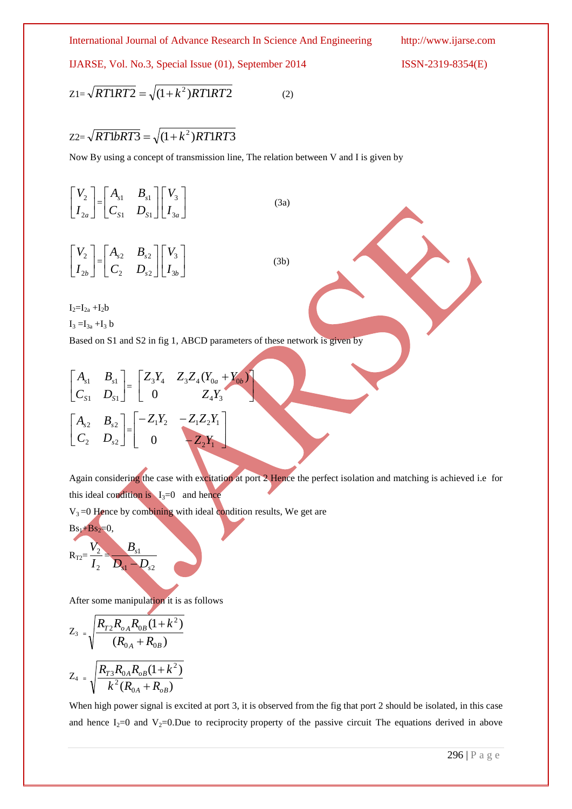International Journal of Advance Research In Science And Engineering http://www.ijarse.com

IJARSE, Vol. No.3, Special Issue (01), September 2014 ISSN-2319-8354(E)

$$
Z1 = \sqrt{RT1RT2} = \sqrt{(1 + k^2)RT1RT2}
$$
 (2)

## $Z2 = \sqrt{RT1bRT3} = \sqrt{(1+k^2)RT1RT3}$

Now By using a concept of transmission line, The relation between V and I is given by

 $\overline{\phantom{a}}$ 」  $\overline{\phantom{a}}$  $\mathsf{L}$ L  $\mathsf{L}$  $I_{2a}$ *V* 2  $\begin{vmatrix} 2 \\ - \end{vmatrix} = \begin{vmatrix} A_{s1} & B_{s1} \\ C & D \end{vmatrix}$ ╛  $\overline{\phantom{a}}$  $\mathbf{r}$ L  $\mathbf{r}$  $1$   $\nu_{S1}$  $1$   $\boldsymbol{\nu}_{s1}$  $S1 \quad \nu_S$  $s1 \quad \mathbf{\nu}_s$  $C_{S1}$  *D*  $A_{s1}$  *B*  $\overline{\phantom{a}}$ 」  $\overline{\phantom{a}}$  $\mathsf{I}$ L  $\mathbf{r}$  $I_{3a}$ *V* 3 3 (3a)  $\overline{\phantom{a}}$ 」  $\overline{\phantom{a}}$  $\mathbf{r}$ L  $\mathsf{L}$  $I_{2b}$ *V* 2  $\begin{vmatrix} 2 \\ - \end{vmatrix} = \begin{vmatrix} A_{s2} & B_{s2} \\ C & D \end{vmatrix}$ 」  $\overline{\phantom{a}}$  $\mathbf{r}$ L  $\mathbf{r}$ 2  $\mathcal{L}_{s2}$ 2  $\boldsymbol{\nu}_{s2}$ *s*  $s^2$   $\boldsymbol{\nu}_s$  $C_2$  *D*  $A_{s2}$  *B*  $\overline{\phantom{a}}$  $\overline{\phantom{a}}$  $\overline{\phantom{a}}$  $\mathbf{r}$ L  $\mathbf{r}$  $I_{3b}$ *V* 3 3 (3b)

 $I_2=I_{2a}+I_2b$ 

 $I_3 = I_{3a} + I_3 b$ 

Based on S1 and S2 in fig 1, ABCD parameters of these network is given by

 $\overline{\phantom{0}}$ 

١

$$
\begin{bmatrix} A_{s1} & B_{s1} \ C_{s1} & D_{s1} \end{bmatrix} = \begin{bmatrix} Z_3Y_4 & Z_3Z_4(Y_{0a} + Y_{0b}) \ 0 & Z_4Y_3 \end{bmatrix}
$$

$$
\begin{bmatrix} A_{s2} & B_{s2} \ C_2 & D_{s2} \end{bmatrix} = \begin{bmatrix} -Z_1Y_2 & -Z_1Z_2Y_1 \ 0 & -Z_2Y_1 \end{bmatrix}
$$

Again considering the case with excitation at port 2 Hence the perfect isolation and matching is achieved i.e for this ideal condition is  $I_3=0$  and hence

 $V_3 = 0$  Hence by combining with ideal condition results, We get are

$$
B_{s_1}+B_{s_2}=0,
$$
  

$$
R_{T2}=\frac{V_2}{I_2}=\frac{B_{s_1}}{D_{s_1}-D_{s_2}}
$$

After some manipulation it is as follows

$$
Z_{3} = \sqrt{\frac{R_{T2}R_{oA}R_{0B}(1+k^{2})}{(R_{0A} + R_{0B})}}
$$

$$
Z_{4} = \sqrt{\frac{R_{T3}R_{0A}R_{oB}(1+k^{2})}{k^{2}(R_{0A} + R_{oB})}}
$$

When high power signal is excited at port 3, it is observed from the fig that port 2 should be isolated, in this case and hence I<sub>2</sub>=0 and V<sub>2</sub>=0.Due to reciprocity property of the passive circuit The equations derived in above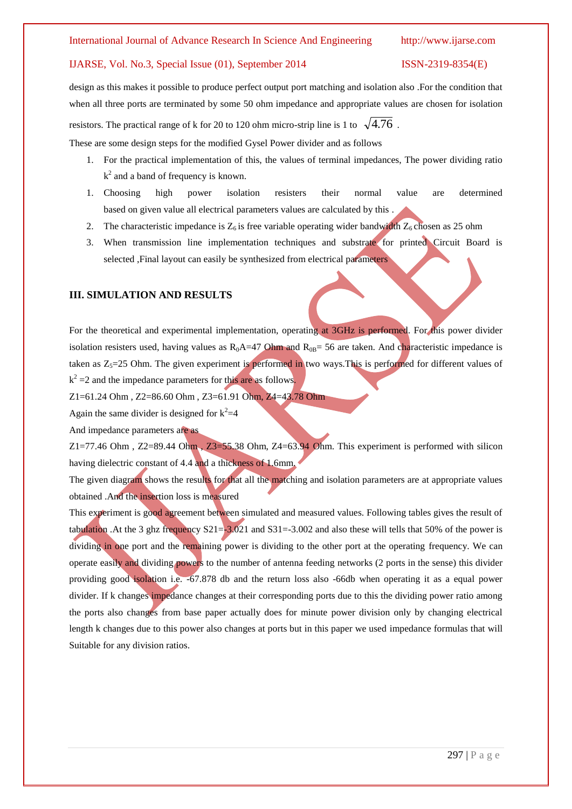design as this makes it possible to produce perfect output port matching and isolation also .For the condition that when all three ports are terminated by some 50 ohm impedance and appropriate values are chosen for isolation resistors. The practical range of k for 20 to 120 ohm micro-strip line is 1 to  $\sqrt{4.76}$ .

These are some design steps for the modified Gysel Power divider and as follows

- 1. For the practical implementation of this, the values of terminal impedances, The power dividing ratio  $k^2$  and a band of frequency is known.
- 1. Choosing high power isolation resisters their normal value are determined based on given value all electrical parameters values are calculated by this .
- 2. The characteristic impedance is  $Z_6$  is free variable operating wider bandwidth  $Z_6$  chosen as 25 ohm
- 3. When transmission line implementation techniques and substrate for printed Circuit Board is selected ,Final layout can easily be synthesized from electrical parameters

## **III. SIMULATION AND RESULTS**

For the theoretical and experimental implementation, operating at 3GHz is performed. For this power divider isolation resisters used, having values as  $R_0A=47$  Ohm and  $R_{0B}=56$  are taken. And characteristic impedance is taken as  $Z_s = 25$  Ohm. The given experiment is performed in two ways. This is performed for different values of  $k^2 = 2$  and the impedance parameters for this are as follows.

Z1=61.24 Ohm , Z2=86.60 Ohm , Z3=61.91 Ohm, Z4=43.78 Ohm

Again the same divider is designed for  $k^2=4$ 

And impedance parameters are as

Z1=77.46 Ohm , Z2=89.44 Ohm , Z3=55.38 Ohm, Z4=63.94 Ohm. This experiment is performed with silicon having dielectric constant of 4.4 and a thickness of 1.6mm.

The given diagram shows the results for that all the matching and isolation parameters are at appropriate values obtained .And the insertion loss is measured

This experiment is good agreement between simulated and measured values. Following tables gives the result of tabulation . At the 3 ghz frequency  $S21 = -3.021$  and  $S31 = -3.002$  and also these will tells that 50% of the power is dividing in one port and the remaining power is dividing to the other port at the operating frequency. We can operate easily and dividing powers to the number of antenna feeding networks (2 ports in the sense) this divider providing good isolation i.e. -67.878 db and the return loss also -66db when operating it as a equal power divider. If k changes impedance changes at their corresponding ports due to this the dividing power ratio among the ports also changes from base paper actually does for minute power division only by changing electrical length k changes due to this power also changes at ports but in this paper we used impedance formulas that will Suitable for any division ratios.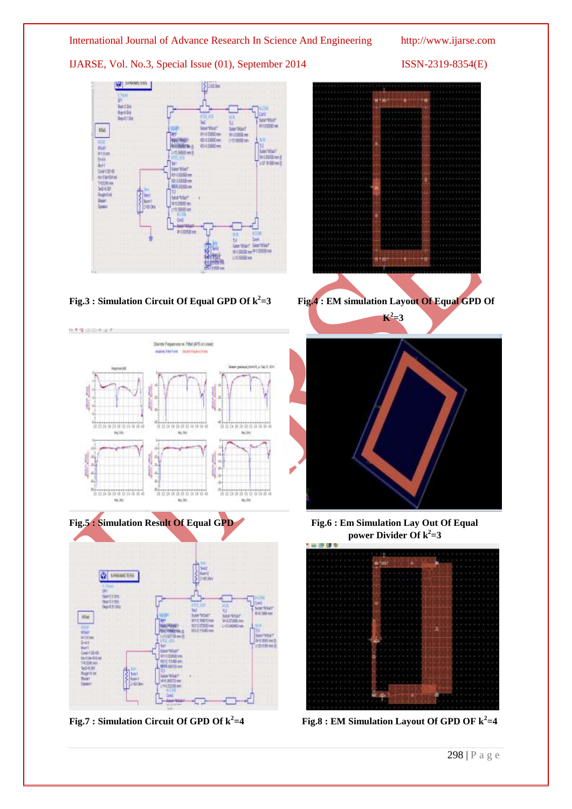

Fig.7 : Simulation Circuit Of GPD Of  $k^2=4$ **=4 Fig.8 : EM Simulation Layout Of GPD OF k<sup>2</sup> =4**

298 | P a g e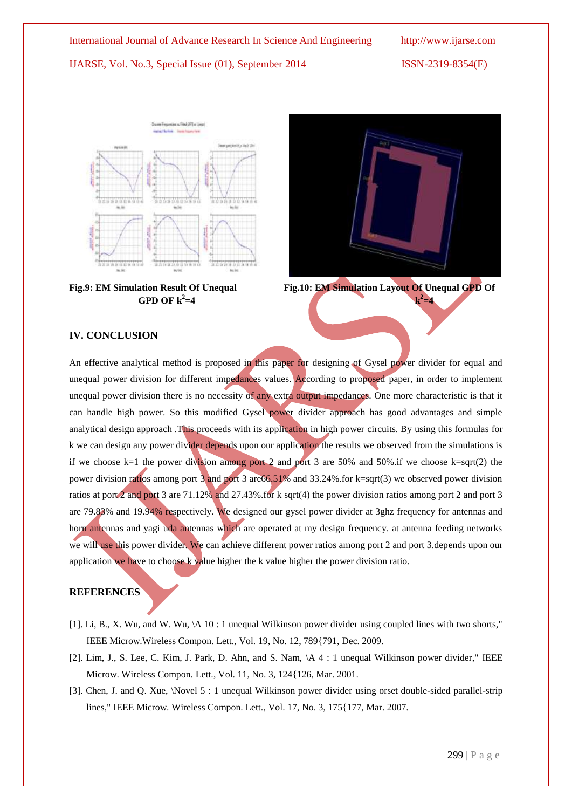







**Fig.9: EM Simulation Result Of Unequal Fig.10: EM Simulation Layout Of Unequal GPD Of**

 $^{2}$ =4

## **IV. CONCLUSION**

An effective analytical method is proposed in this paper for designing of Gysel power divider for equal and unequal power division for different impedances values. According to proposed paper, in order to implement unequal power division there is no necessity of any extra output impedances. One more characteristic is that it can handle high power. So this modified Gysel power divider approach has good advantages and simple analytical design approach .This proceeds with its application in high power circuits. By using this formulas for k we can design any power divider depends upon our application the results we observed from the simulations is if we choose  $k=1$  the power division among port 2 and port 3 are 50% and 50% if we choose  $k=sqrt(2)$  the power division ratios among port 3 and port 3 are66.51% and 33.24%.for k=sqrt(3) we observed power division ratios at port 2 and port 3 are 71.12% and 27.43%.for k sqrt(4) the power division ratios among port 2 and port 3 are 79.83% and 19.94% respectively. We designed our gysel power divider at 3ghz frequency for antennas and horn antennas and yagi uda antennas which are operated at my design frequency. at antenna feeding networks we will use this power divider. We can achieve different power ratios among port 2 and port 3.depends upon our application we have to choose  $k$  value higher the k value higher the power division ratio.

## **REFERENCES**

- [1]. Li, B., X. Wu, and W. Wu, \A 10 : 1 unequal Wilkinson power divider using coupled lines with two shorts," IEEE Microw.Wireless Compon. Lett., Vol. 19, No. 12, 789{791, Dec. 2009.
- [2]. Lim, J., S. Lee, C. Kim, J. Park, D. Ahn, and S. Nam, \A 4 : 1 unequal Wilkinson power divider," IEEE Microw. Wireless Compon. Lett., Vol. 11, No. 3, 124{126, Mar. 2001.
- [3]. Chen, J. and Q. Xue, \Novel 5 : 1 unequal Wilkinson power divider using orset double-sided parallel-strip lines," IEEE Microw. Wireless Compon. Lett., Vol. 17, No. 3, 175{177, Mar. 2007.